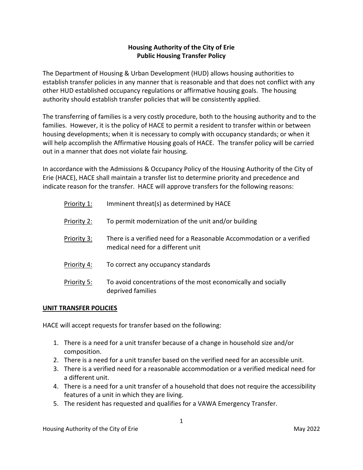## **Housing Authority of the City of Erie Public Housing Transfer Policy**

The Department of Housing & Urban Development (HUD) allows housing authorities to establish transfer policies in any manner that is reasonable and that does not conflict with any other HUD established occupancy regulations or affirmative housing goals. The housing authority should establish transfer policies that will be consistently applied.

The transferring of families is a very costly procedure, both to the housing authority and to the families. However, it is the policy of HACE to permit a resident to transfer within or between housing developments; when it is necessary to comply with occupancy standards; or when it will help accomplish the Affirmative Housing goals of HACE. The transfer policy will be carried out in a manner that does not violate fair housing.

In accordance with the Admissions & Occupancy Policy of the Housing Authority of the City of Erie (HACE), HACE shall maintain a transfer list to determine priority and precedence and indicate reason for the transfer. HACE will approve transfers for the following reasons:

| Priority 1: | Imminent threat(s) as determined by HACE                                                                   |
|-------------|------------------------------------------------------------------------------------------------------------|
| Priority 2: | To permit modernization of the unit and/or building                                                        |
| Priority 3: | There is a verified need for a Reasonable Accommodation or a verified<br>medical need for a different unit |
| Priority 4: | To correct any occupancy standards                                                                         |
| Priority 5: | To avoid concentrations of the most economically and socially<br>deprived families                         |

## **UNIT TRANSFER POLICIES**

HACE will accept requests for transfer based on the following:

- 1. There is a need for a unit transfer because of a change in household size and/or composition.
- 2. There is a need for a unit transfer based on the verified need for an accessible unit.
- 3. There is a verified need for a reasonable accommodation or a verified medical need for a different unit.
- 4. There is a need for a unit transfer of a household that does not require the accessibility features of a unit in which they are living.
- 5. The resident has requested and qualifies for a VAWA Emergency Transfer.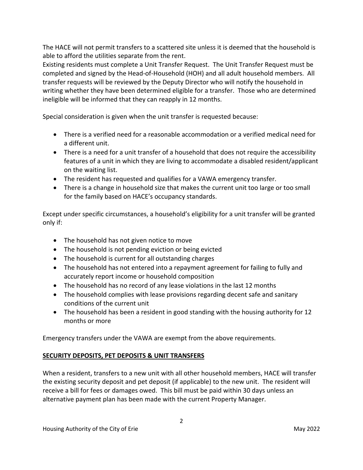The HACE will not permit transfers to a scattered site unless it is deemed that the household is able to afford the utilities separate from the rent.

Existing residents must complete a Unit Transfer Request. The Unit Transfer Request must be completed and signed by the Head-of-Household (HOH) and all adult household members. All transfer requests will be reviewed by the Deputy Director who will notify the household in writing whether they have been determined eligible for a transfer. Those who are determined ineligible will be informed that they can reapply in 12 months.

Special consideration is given when the unit transfer is requested because:

- There is a verified need for a reasonable accommodation or a verified medical need for a different unit.
- There is a need for a unit transfer of a household that does not require the accessibility features of a unit in which they are living to accommodate a disabled resident/applicant on the waiting list.
- The resident has requested and qualifies for a VAWA emergency transfer.
- There is a change in household size that makes the current unit too large or too small for the family based on HACE's occupancy standards.

Except under specific circumstances, a household's eligibility for a unit transfer will be granted only if:

- The household has not given notice to move
- The household is not pending eviction or being evicted
- The household is current for all outstanding charges
- The household has not entered into a repayment agreement for failing to fully and accurately report income or household composition
- The household has no record of any lease violations in the last 12 months
- The household complies with lease provisions regarding decent safe and sanitary conditions of the current unit
- The household has been a resident in good standing with the housing authority for 12 months or more

Emergency transfers under the VAWA are exempt from the above requirements.

# **SECURITY DEPOSITS, PET DEPOSITS & UNIT TRANSFERS**

When a resident, transfers to a new unit with all other household members, HACE will transfer the existing security deposit and pet deposit (if applicable) to the new unit. The resident will receive a bill for fees or damages owed. This bill must be paid within 30 days unless an alternative payment plan has been made with the current Property Manager.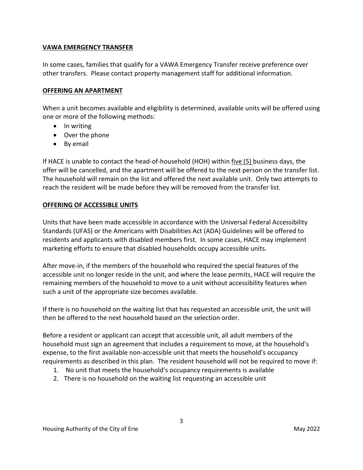#### **VAWA EMERGENCY TRANSFER**

In some cases, families that qualify for a VAWA Emergency Transfer receive preference over other transfers. Please contact property management staff for additional information.

#### **OFFERING AN APARTMENT**

When a unit becomes available and eligibility is determined, available units will be offered using one or more of the following methods:

- In writing
- Over the phone
- By email

If HACE is unable to contact the head-of-household (HOH) within five (5) business days, the offer will be cancelled, and the apartment will be offered to the next person on the transfer list. The household will remain on the list and offered the next available unit. Only two attempts to reach the resident will be made before they will be removed from the transfer list.

#### **OFFERING OF ACCESSIBLE UNITS**

Units that have been made accessible in accordance with the Universal Federal Accessibility Standards (UFAS) or the Americans with Disabilities Act (ADA) Guidelines will be offered to residents and applicants with disabled members first. In some cases, HACE may implement marketing efforts to ensure that disabled households occupy accessible units.

After move-in, if the members of the household who required the special features of the accessible unit no longer reside in the unit, and where the lease permits, HACE will require the remaining members of the household to move to a unit without accessibility features when such a unit of the appropriate size becomes available.

If there is no household on the waiting list that has requested an accessible unit, the unit will then be offered to the next household based on the selection order.

Before a resident or applicant can accept that accessible unit, all adult members of the household must sign an agreement that includes a requirement to move, at the household's expense, to the first available non-accessible unit that meets the household's occupancy requirements as described in this plan. The resident household will not be required to move if:

- 1. No unit that meets the household's occupancy requirements is available
- 2. There is no household on the waiting list requesting an accessible unit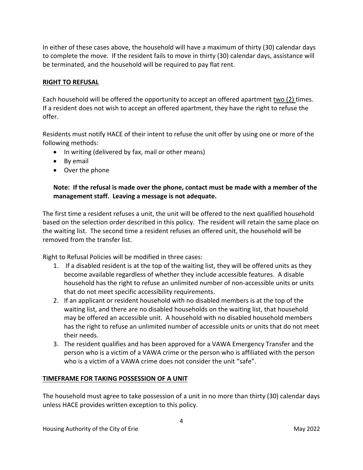In either of these cases above, the household will have a maximum of thirty (30) calendar days to complete the move. If the resident fails to move in thirty (30) calendar days, assistance will be terminated, and the household will be required to pay flat rent.

#### **RIGHT TO REFUSAL**

Each household will be offered the opportunity to accept an offered apartment two (2) times. If a resident does not wish to accept an offered apartment, they have the right to refuse the offer.

Residents must notify HACE of their intent to refuse the unit offer by using one or more of the following methods:

- In writing (delivered by fax, mail or other means)
- By email
- Over the phone

## **Note: If the refusal is made over the phone, contact must be made with a member of the management staff. Leaving a message is not adequate.**

The first time a resident refuses a unit, the unit will be offered to the next qualified household based on the selection order described in this policy. The resident will retain the same place on the waiting list. The second time a resident refuses an offered unit, the household will be removed from the transfer list.

Right to Refusal Policies will be modified in three cases:

- 1. If a disabled resident is at the top of the waiting list, they will be offered units as they become available regardless of whether they include accessible features. A disable household has the right to refuse an unlimited number of non-accessible units or units that do not meet specific accessibility requirements.
- 2. If an applicant or resident household with no disabled members is at the top of the waiting list, and there are no disabled households on the waiting list, that household may be offered an accessible unit. A household with no disabled household members has the right to refuse an unlimited number of accessible units or units that do not meet their needs.
- 3. The resident qualifies and has been approved for a VAWA Emergency Transfer and the person who is a victim of a VAWA crime or the person who is affiliated with the person who is a victim of a VAWA crime does not consider the unit "safe".

## **TIMEFRAME FOR TAKING POSSESSION OF A UNIT**

The household must agree to take possession of a unit in no more than thirty (30) calendar days unless HACE provides written exception to this policy.